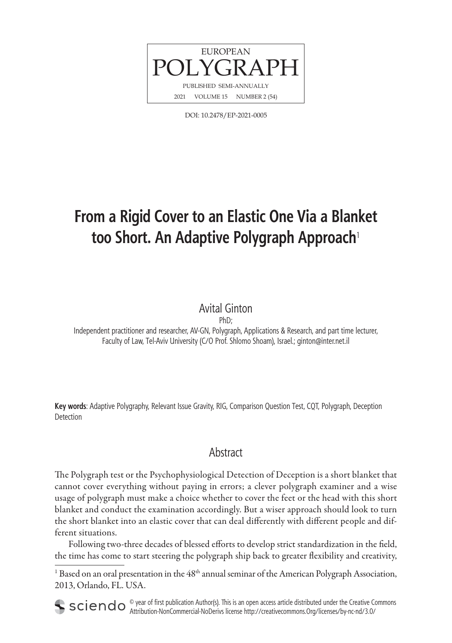

DOI: 10.2478/EP-2021-0005

# **From a Rigid Cover to an Elastic One Via a Blanket too Short. An Adaptive Polygraph Approach**<sup>1</sup>

# Avital Ginton

PhD;

Independent practitioner and researcher, AV-GN, Polygraph, Applications & Research, and part time lecturer, Faculty of Law, Tel-Aviv University (C/O Prof. Shlomo Shoam), Israel.; ginton@inter.net.il

**Key words**: Adaptive Polygraphy, Relevant Issue Gravity, RIG, Comparison Question Test, CQT, Polygraph, Deception Detection

# **Abstract**

The Polygraph test or the Psychophysiological Detection of Deception is a short blanket that cannot cover everything without paying in errors; a clever polygraph examiner and a wise usage of polygraph must make a choice whether to cover the feet or the head with this short blanket and conduct the examination accordingly. But a wiser approach should look to turn the short blanket into an elastic cover that can deal differently with different people and different situations.

Following two-three decades of blessed efforts to develop strict standardization in the field, the time has come to start steering the polygraph ship back to greater flexibility and creativity,

<sup>1</sup> Based on an oral presentation in the  $48<sup>th</sup>$  annual seminar of the American Polygraph Association, 2013, Orlando, FL. USA.

 $\circ$  year of first publication Author(s). This is an open access article distributed under the Creative Commons Attribution-NonCommercial-NoDerivs license http://creativecommons.Org/licenses/by-nc-nd/3.0/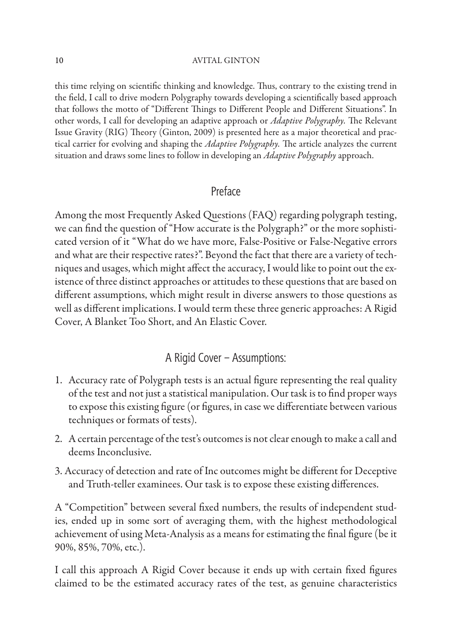this time relying on scientific thinking and knowledge. Thus, contrary to the existing trend in the field, I call to drive modern Polygraphy towards developing a scientifically based approach that follows the motto of "Different Things to Different People and Different Situations". In other words, I call for developing an adaptive approach or *Adaptive Polygraphy*. The Relevant Issue Gravity (RIG) Theory (Ginton, 2009) is presented here as a major theoretical and practical carrier for evolving and shaping the *Adaptive Polygraphy*. The article analyzes the current situation and draws some lines to follow in developing an *Adaptive Polygraphy* approach.

### Preface

Among the most Frequently Asked Questions (FAQ) regarding polygraph testing, we can find the question of "How accurate is the Polygraph?" or the more sophisticated version of it "What do we have more, False-Positive or False-Negative errors and what are their respective rates?". Beyond the fact that there are a variety of techniques and usages, which might affect the accuracy, I would like to point out the existence of three distinct approaches or attitudes to these questions that are based on different assumptions, which might result in diverse answers to those questions as well as different implications. I would term these three generic approaches: A Rigid Cover, A Blanket Too Short, and An Elastic Cover.

# A Rigid Cover – Assumptions:

- 1. Accuracy rate of Polygraph tests is an actual figure representing the real quality of the test and not just a statistical manipulation. Our task is to find proper ways to expose this existing figure (or figures, in case we differentiate between various techniques or formats of tests).
- 2. A certain percentage of the test's outcomes is not clear enough to make a call and deems Inconclusive.
- 3. Accuracy of detection and rate of Inc outcomes might be different for Deceptive and Truth-teller examinees. Our task is to expose these existing differences.

A "Competition" between several fixed numbers, the results of independent studies, ended up in some sort of averaging them, with the highest methodological achievement of using Meta-Analysis as a means for estimating the final figure (be it 90%, 85%, 70%, etc.).

I call this approach A Rigid Cover because it ends up with certain fixed figures claimed to be the estimated accuracy rates of the test, as genuine characteristics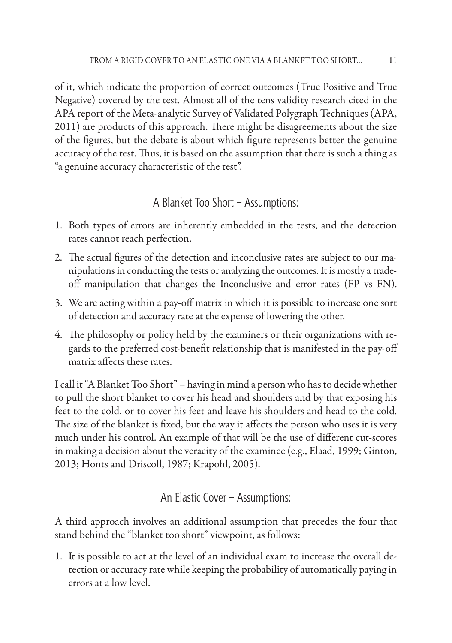of it, which indicate the proportion of correct outcomes (True Positive and True Negative) covered by the test. Almost all of the tens validity research cited in the APA report of the Meta-analytic Survey of Validated Polygraph Techniques (APA, 2011) are products of this approach. There might be disagreements about the size of the figures, but the debate is about which figure represents better the genuine accuracy of the test. Thus, it is based on the assumption that there is such a thing as "a genuine accuracy characteristic of the test".

## A Blanket Too Short – Assumptions:

- 1. Both types of errors are inherently embedded in the tests, and the detection rates cannot reach perfection.
- 2. The actual figures of the detection and inconclusive rates are subject to our manipulations in conducting the tests or analyzing the outcomes. It is mostly a tradeoff manipulation that changes the Inconclusive and error rates (FP vs FN).
- 3. We are acting within a pay-off matrix in which it is possible to increase one sort of detection and accuracy rate at the expense of lowering the other.
- 4. The philosophy or policy held by the examiners or their organizations with regards to the preferred cost-benefit relationship that is manifested in the pay-off matrix affects these rates.

I call it "A Blanket Too Short" – having in mind a person who has to decide whether to pull the short blanket to cover his head and shoulders and by that exposing his feet to the cold, or to cover his feet and leave his shoulders and head to the cold. The size of the blanket is fixed, but the way it affects the person who uses it is very much under his control. An example of that will be the use of different cut-scores in making a decision about the veracity of the examinee (e.g., Elaad, 1999; Ginton, 2013; Honts and Driscoll, 1987; Krapohl, 2005).

### An Elastic Cover – Assumptions:

A third approach involves an additional assumption that precedes the four that stand behind the "blanket too short" viewpoint, as follows:

1. It is possible to act at the level of an individual exam to increase the overall detection or accuracy rate while keeping the probability of automatically paying in errors at a low level.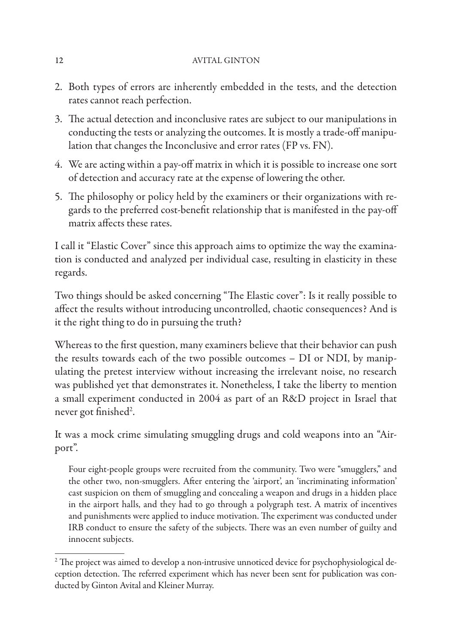- 2. Both types of errors are inherently embedded in the tests, and the detection rates cannot reach perfection.
- 3. The actual detection and inconclusive rates are subject to our manipulations in conducting the tests or analyzing the outcomes. It is mostly a trade-off manipulation that changes the Inconclusive and error rates (FP vs. FN).
- 4. We are acting within a pay-off matrix in which it is possible to increase one sort of detection and accuracy rate at the expense of lowering the other.
- 5. The philosophy or policy held by the examiners or their organizations with regards to the preferred cost-benefit relationship that is manifested in the pay-off matrix affects these rates.

I call it "Elastic Cover" since this approach aims to optimize the way the examination is conducted and analyzed per individual case, resulting in elasticity in these regards.

Two things should be asked concerning "The Elastic cover": Is it really possible to affect the results without introducing uncontrolled, chaotic consequences? And is it the right thing to do in pursuing the truth?

Whereas to the first question, many examiners believe that their behavior can push the results towards each of the two possible outcomes – DI or NDI, by manipulating the pretest interview without increasing the irrelevant noise, no research was published yet that demonstrates it. Nonetheless, I take the liberty to mention a small experiment conducted in 2004 as part of an R&D project in Israel that never got finished<sup>2</sup>.

It was a mock crime simulating smuggling drugs and cold weapons into an "Airport".

Four eight-people groups were recruited from the community. Two were "smugglers," and the other two, non-smugglers. After entering the 'airport', an 'incriminating information' cast suspicion on them of smuggling and concealing a weapon and drugs in a hidden place in the airport halls, and they had to go through a polygraph test. A matrix of incentives and punishments were applied to induce motivation. The experiment was conducted under IRB conduct to ensure the safety of the subjects. There was an even number of guilty and innocent subjects.

 $^2$  The project was aimed to develop a non-intrusive unnoticed device for psychophysiological deception detection. The referred experiment which has never been sent for publication was conducted by Ginton Avital and Kleiner Murray.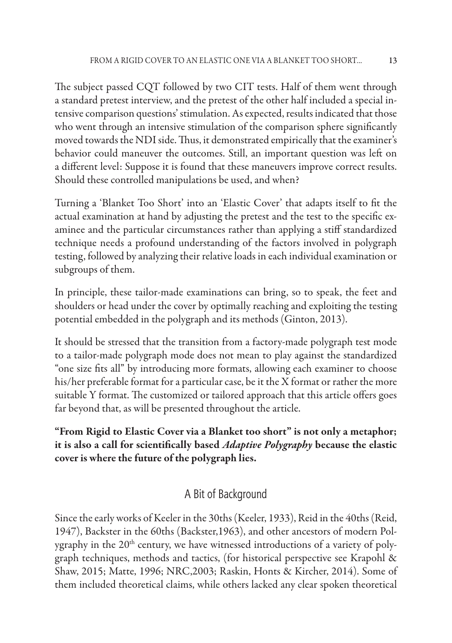The subject passed CQT followed by two CIT tests. Half of them went through a standard pretest interview, and the pretest of the other half included a special intensive comparison questions' stimulation. As expected, results indicated that those who went through an intensive stimulation of the comparison sphere significantly moved towards the NDI side. Thus, it demonstrated empirically that the examiner's behavior could maneuver the outcomes. Still, an important question was left on a different level: Suppose it is found that these maneuvers improve correct results. Should these controlled manipulations be used, and when?

Turning a 'Blanket Too Short' into an 'Elastic Cover' that adapts itself to fit the actual examination at hand by adjusting the pretest and the test to the specific examinee and the particular circumstances rather than applying a stiff standardized technique needs a profound understanding of the factors involved in polygraph testing, followed by analyzing their relative loads in each individual examination or subgroups of them.

In principle, these tailor-made examinations can bring, so to speak, the feet and shoulders or head under the cover by optimally reaching and exploiting the testing potential embedded in the polygraph and its methods (Ginton, 2013).

It should be stressed that the transition from a factory-made polygraph test mode to a tailor-made polygraph mode does not mean to play against the standardized "one size fits all" by introducing more formats, allowing each examiner to choose his/her preferable format for a particular case, be it the X format or rather the more suitable Y format. The customized or tailored approach that this article offers goes far beyond that, as will be presented throughout the article.

**"From Rigid to Elastic Cover via a Blanket too short" is not only a metaphor;**  it is also a call for scientifically based *Adaptive Polygraphy* because the elastic **cover is where the future of the polygraph lies.**

# A Bit of Background

Since the early works of Keeler in the 30ths (Keeler, 1933), Reid in the 40ths (Reid, 1947), Backster in the 60ths (Backster,1963), and other ancestors of modern Polygraphy in the 20<sup>th</sup> century, we have witnessed introductions of a variety of polygraph techniques, methods and tactics, (for historical perspective see Krapohl & Shaw, 2015; Matte, 1996; NRC,2003; Raskin, Honts & Kircher, 2014). Some of them included theoretical claims, while others lacked any clear spoken theoretical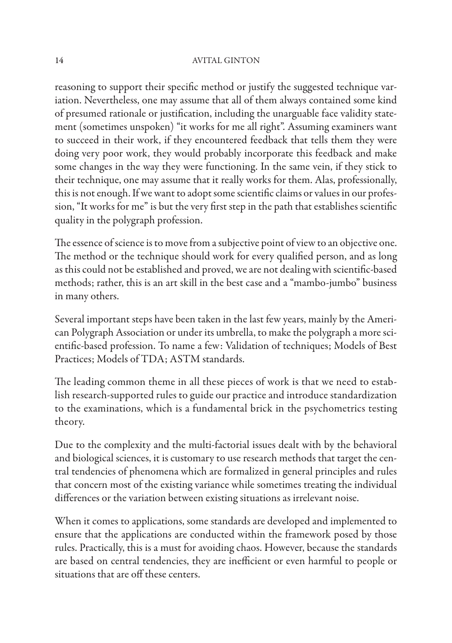reasoning to support their specific method or justify the suggested technique variation. Nevertheless, one may assume that all of them always contained some kind of presumed rationale or justification, including the unarguable face validity statement (sometimes unspoken) "it works for me all right". Assuming examiners want to succeed in their work, if they encountered feedback that tells them they were doing very poor work, they would probably incorporate this feedback and make some changes in the way they were functioning. In the same vein, if they stick to their technique, one may assume that it really works for them. Alas, professionally, this is not enough. If we want to adopt some scientific claims or values in our profession, "It works for me" is but the very first step in the path that establishes scientific quality in the polygraph profession.

The essence of science is to move from a subjective point of view to an objective one. The method or the technique should work for every qualified person, and as long as this could not be established and proved, we are not dealing with scientific-based methods; rather, this is an art skill in the best case and a "mambo-jumbo" business in many others.

Several important steps have been taken in the last few years, mainly by the American Polygraph Association or under its umbrella, to make the polygraph a more scientific-based profession. To name a few: Validation of techniques; Models of Best Practices; Models of TDA; ASTM standards.

The leading common theme in all these pieces of work is that we need to establish research-supported rules to guide our practice and introduce standardization to the examinations, which is a fundamental brick in the psychometrics testing theory.

Due to the complexity and the multi-factorial issues dealt with by the behavioral and biological sciences, it is customary to use research methods that target the central tendencies of phenomena which are formalized in general principles and rules that concern most of the existing variance while sometimes treating the individual differences or the variation between existing situations as irrelevant noise.

When it comes to applications, some standards are developed and implemented to ensure that the applications are conducted within the framework posed by those rules. Practically, this is a must for avoiding chaos. However, because the standards are based on central tendencies, they are inefficient or even harmful to people or situations that are off these centers.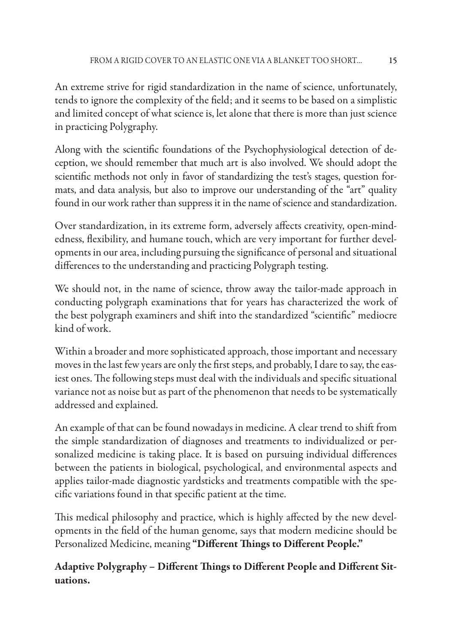An extreme strive for rigid standardization in the name of science, unfortunately, tends to ignore the complexity of the field; and it seems to be based on a simplistic and limited concept of what science is, let alone that there is more than just science in practicing Polygraphy.

Along with the scientific foundations of the Psychophysiological detection of deception, we should remember that much art is also involved. We should adopt the scientific methods not only in favor of standardizing the test's stages, question formats, and data analysis, but also to improve our understanding of the "art" quality found in our work rather than suppress it in the name of science and standardization.

Over standardization, in its extreme form, adversely affects creativity, open-mindedness, flexibility, and humane touch, which are very important for further developments in our area, including pursuing the significance of personal and situational differences to the understanding and practicing Polygraph testing.

We should not, in the name of science, throw away the tailor-made approach in conducting polygraph examinations that for years has characterized the work of the best polygraph examiners and shift into the standardized "scientific" mediocre kind of work.

Within a broader and more sophisticated approach, those important and necessary moves in the last few years are only the first steps, and probably, I dare to say, the easiest ones. The following steps must deal with the individuals and specific situational variance not as noise but as part of the phenomenon that needs to be systematically addressed and explained.

An example of that can be found nowadays in medicine. A clear trend to shift from the simple standardization of diagnoses and treatments to individualized or personalized medicine is taking place. It is based on pursuing individual differences between the patients in biological, psychological, and environmental aspects and applies tailor-made diagnostic yardsticks and treatments compatible with the specific variations found in that specific patient at the time.

This medical philosophy and practice, which is highly affected by the new developments in the field of the human genome, says that modern medicine should be Personalized Medicine, meaning "Different Things to Different People."

# Adaptive Polygraphy - Different Things to Different People and Different Sit**uations.**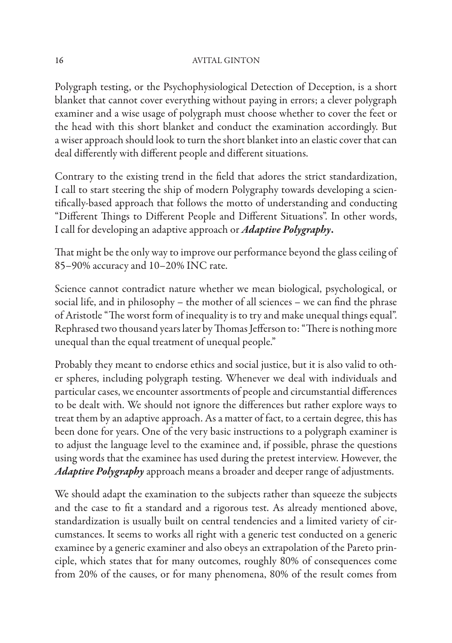Polygraph testing, or the Psychophysiological Detection of Deception, is a short blanket that cannot cover everything without paying in errors; a clever polygraph examiner and a wise usage of polygraph must choose whether to cover the feet or the head with this short blanket and conduct the examination accordingly. But a wiser approach should look to turn the short blanket into an elastic cover that can deal differently with different people and different situations.

Contrary to the existing trend in the field that adores the strict standardization, I call to start steering the ship of modern Polygraphy towards developing a scientifically-based approach that follows the motto of understanding and conducting "Different Things to Different People and Different Situations". In other words, I call for developing an adaptive approach or *Adaptive Polygraphy***.**

That might be the only way to improve our performance beyond the glass ceiling of 85–90% accuracy and 10–20% INC rate.

Science cannot contradict nature whether we mean biological, psychological, or social life, and in philosophy – the mother of all sciences – we can find the phrase of Aristotle "The worst form of inequality is to try and make unequal things equal". Rephrased two thousand years later by Thomas Jefferson to: "There is nothing more unequal than the equal treatment of unequal people."

Probably they meant to endorse ethics and social justice, but it is also valid to other spheres, including polygraph testing. Whenever we deal with individuals and particular cases, we encounter assortments of people and circumstantial differences to be dealt with. We should not ignore the differences but rather explore ways to treat them by an adaptive approach. As a matter of fact, to a certain degree, this has been done for years. One of the very basic instructions to a polygraph examiner is to adjust the language level to the examinee and, if possible, phrase the questions using words that the examinee has used during the pretest interview. However, the *Adaptive Polygraphy* approach means a broader and deeper range of adjustments.

We should adapt the examination to the subjects rather than squeeze the subjects and the case to fit a standard and a rigorous test. As already mentioned above, standardization is usually built on central tendencies and a limited variety of circumstances. It seems to works all right with a generic test conducted on a generic examinee by a generic examiner and also obeys an extrapolation of the Pareto principle, which states that for many outcomes, roughly 80% of consequences come from 20% of the causes, or for many phenomena, 80% of the result comes from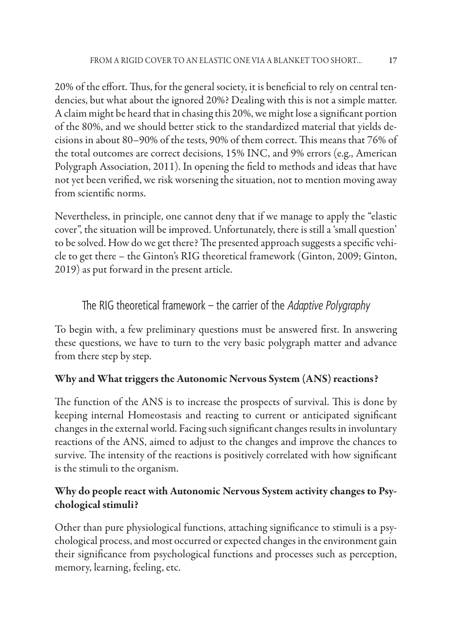20% of the effort. Thus, for the general society, it is beneficial to rely on central tendencies, but what about the ignored 20%? Dealing with this is not a simple matter. A claim might be heard that in chasing this 20%, we might lose a significant portion of the 80%, and we should better stick to the standardized material that yields decisions in about 80–90% of the tests, 90% of them correct. This means that 76% of the total outcomes are correct decisions, 15% INC, and 9% errors (e.g., American Polygraph Association, 2011). In opening the field to methods and ideas that have not yet been verified, we risk worsening the situation, not to mention moving away from scientific norms.

Nevertheless, in principle, one cannot deny that if we manage to apply the "elastic cover", the situation will be improved. Unfortunately, there is still a 'small question' to be solved. How do we get there? The presented approach suggests a specific vehicle to get there – the Ginton's RIG theoretical framework (Ginton, 2009; Ginton, 2019) as put forward in the present article.

# The RIG theoretical framework – the carrier of the *Adaptive Polygraphy*

To begin with, a few preliminary questions must be answered first. In answering these questions, we have to turn to the very basic polygraph matter and advance from there step by step.

# **Why and What triggers the Autonomic Nervous System (ANS) reactions?**

The function of the ANS is to increase the prospects of survival. This is done by keeping internal Homeostasis and reacting to current or anticipated significant changes in the external world. Facing such significant changes results in involuntary reactions of the ANS, aimed to adjust to the changes and improve the chances to survive. The intensity of the reactions is positively correlated with how significant is the stimuli to the organism.

# **Why do people react with Autonomic Nervous System activity changes to Psychological stimuli?**

Other than pure physiological functions, attaching significance to stimuli is a psychological process, and most occurred or expected changes in the environment gain their significance from psychological functions and processes such as perception, memory, learning, feeling, etc.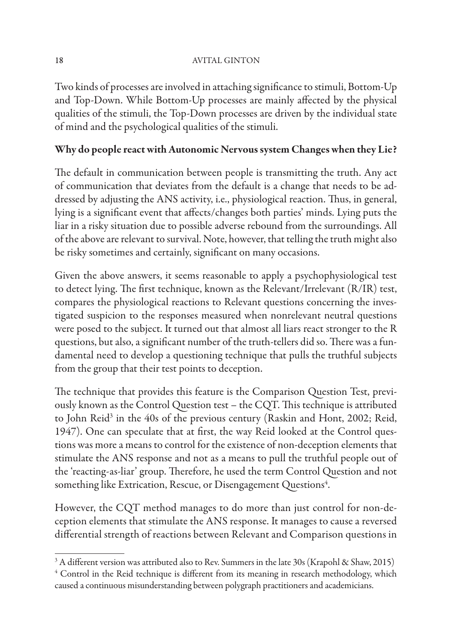Two kinds of processes are involved in attaching significance to stimuli, Bottom-Up and Top-Down. While Bottom-Up processes are mainly affected by the physical qualities of the stimuli, the Top-Down processes are driven by the individual state of mind and the psychological qualities of the stimuli.

### **Why do people react with Autonomic Nervous system Changes when they Lie?**

The default in communication between people is transmitting the truth. Any act of communication that deviates from the default is a change that needs to be addressed by adjusting the ANS activity, i.e., physiological reaction. Thus, in general, lying is a significant event that affects/changes both parties' minds. Lying puts the liar in a risky situation due to possible adverse rebound from the surroundings. All of the above are relevant to survival. Note, however, that telling the truth might also be risky sometimes and certainly, significant on many occasions.

Given the above answers, it seems reasonable to apply a psychophysiological test to detect lying. The first technique, known as the Relevant/Irrelevant (R/IR) test, compares the physiological reactions to Relevant questions concerning the investigated suspicion to the responses measured when nonrelevant neutral questions were posed to the subject. It turned out that almost all liars react stronger to the R questions, but also, a significant number of the truth-tellers did so. There was a fundamental need to develop a questioning technique that pulls the truthful subjects from the group that their test points to deception.

The technique that provides this feature is the Comparison Question Test, previously known as the Control Question test - the CQT. This technique is attributed to John Reid<sup>3</sup> in the 40s of the previous century (Raskin and Hont, 2002; Reid, 1947). One can speculate that at first, the way Reid looked at the Control questions was more a means to control for the existence of non-deception elements that stimulate the ANS response and not as a means to pull the truthful people out of the 'reacting-as-liar' group. Th erefore, he used the term Control Question and not something like Extrication, Rescue, or Disengagement Questions $\rm ^4$ .

However, the CQT method manages to do more than just control for non-deception elements that stimulate the ANS response. It manages to cause a reversed differential strength of reactions between Relevant and Comparison questions in

 $^3$  A different version was attributed also to Rev. Summers in the late 30s (Krapohl & Shaw, 2015)<br> $^4$  Control in the Reid technique is different from its meaning in research methodology, which

<sup>&</sup>lt;sup>4</sup> Control in the Reid technique is different from its meaning in research methodology, which caused a continuous misunderstanding between polygraph practitioners and academicians.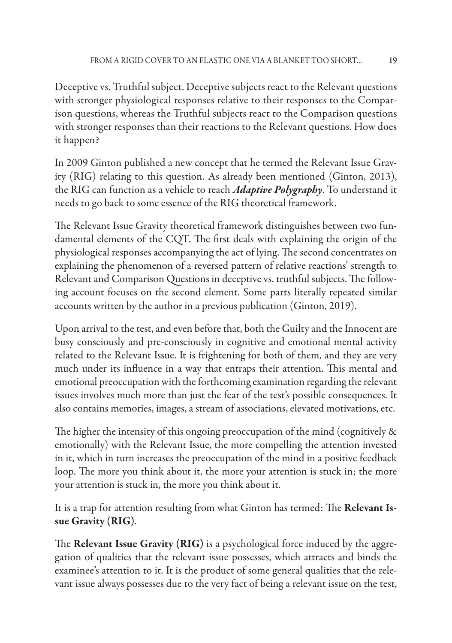Deceptive vs. Truthful subject. Deceptive subjects react to the Relevant questions with stronger physiological responses relative to their responses to the Comparison questions, whereas the Truthful subjects react to the Comparison questions with stronger responses than their reactions to the Relevant questions. How does it happen?

In 2009 Ginton published a new concept that he termed the Relevant Issue Gravity (RIG) relating to this question. As already been mentioned (Ginton, 2013), the RIG can function as a vehicle to reach *Adaptive Polygraphy*. To understand it needs to go back to some essence of the RIG theoretical framework.

The Relevant Issue Gravity theoretical framework distinguishes between two fundamental elements of the CQT. The first deals with explaining the origin of the physiological responses accompanying the act of lying. The second concentrates on explaining the phenomenon of a reversed pattern of relative reactions' strength to Relevant and Comparison Questions in deceptive vs. truthful subjects. The following account focuses on the second element. Some parts literally repeated similar accounts written by the author in a previous publication (Ginton, 2019).

Upon arrival to the test, and even before that, both the Guilty and the Innocent are busy consciously and pre-consciously in cognitive and emotional mental activity related to the Relevant Issue. It is frightening for both of them, and they are very much under its influence in a way that entraps their attention. This mental and emotional preoccupation with the forthcoming examination regarding the relevant issues involves much more than just the fear of the test's possible consequences. It also contains memories, images, a stream of associations, elevated motivations, etc.

The higher the intensity of this ongoing preoccupation of the mind (cognitively  $\&$ emotionally) with the Relevant Issue, the more compelling the attention invested in it, which in turn increases the preoccupation of the mind in a positive feedback loop. The more you think about it, the more your attention is stuck in; the more your attention is stuck in, the more you think about it.

It is a trap for attention resulting from what Ginton has termed: The **Relevant Issue Gravity (RIG)**.

The **Relevant Issue Gravity (RIG)** is a psychological force induced by the aggregation of qualities that the relevant issue possesses, which attracts and binds the examinee's attention to it. It is the product of some general qualities that the relevant issue always possesses due to the very fact of being a relevant issue on the test,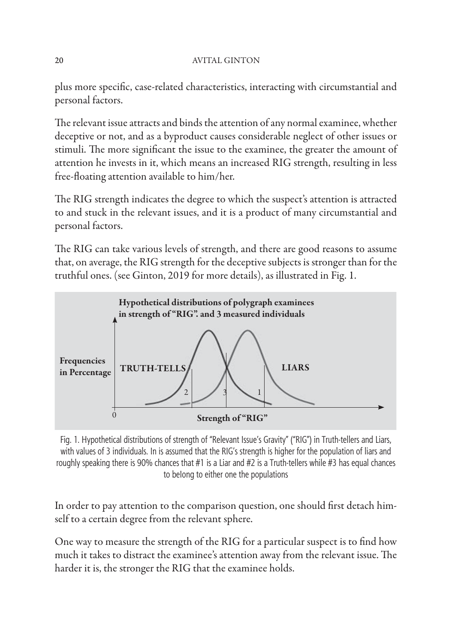plus more specific, case-related characteristics, interacting with circumstantial and personal factors.

The relevant issue attracts and binds the attention of any normal examinee, whether deceptive or not, and as a byproduct causes considerable neglect of other issues or stimuli. The more significant the issue to the examinee, the greater the amount of attention he invests in it, which means an increased RIG strength, resulting in less free-floating attention available to him/her.

The RIG strength indicates the degree to which the suspect's attention is attracted to and stuck in the relevant issues, and it is a product of many circumstantial and personal factors.

The RIG can take various levels of strength, and there are good reasons to assume that, on average, the RIG strength for the deceptive subjects is stronger than for the truthful ones. (see Ginton, 2019 for more details), as illustrated in Fig. 1.



Fig. 1. Hypothetical distributions of strength of "Relevant Issue's Gravity" ("RIG") in Truth-tellers and Liars, with values of 3 individuals. In is assumed that the RIG's strength is higher for the population of liars and roughly speaking there is 90% chances that #1 is a Liar and #2 is a Truth-tellers while #3 has equal chances to belong to either one the populations

In order to pay attention to the comparison question, one should first detach himself to a certain degree from the relevant sphere.

One way to measure the strength of the RIG for a particular suspect is to find how much it takes to distract the examinee's attention away from the relevant issue. The harder it is, the stronger the RIG that the examinee holds.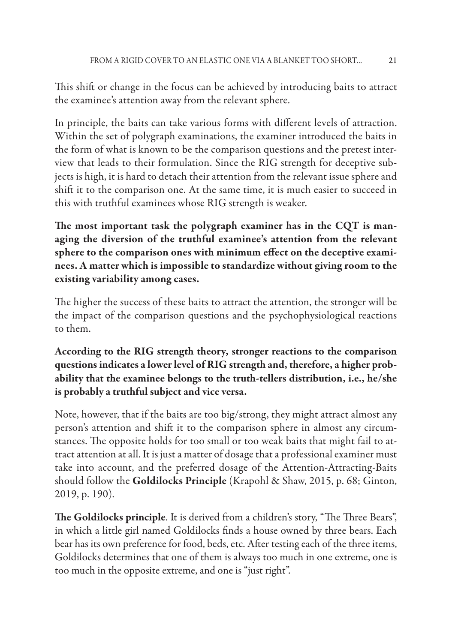This shift or change in the focus can be achieved by introducing baits to attract the examinee's attention away from the relevant sphere.

In principle, the baits can take various forms with different levels of attraction. Within the set of polygraph examinations, the examiner introduced the baits in the form of what is known to be the comparison questions and the pretest interview that leads to their formulation. Since the RIG strength for deceptive subjects is high, it is hard to detach their attention from the relevant issue sphere and shift it to the comparison one. At the same time, it is much easier to succeed in this with truthful examinees whose RIG strength is weaker.

The most important task the polygraph examiner has in the CQT is man**aging the diversion of the truthful examinee's attention from the relevant**  sphere to the comparison ones with minimum effect on the deceptive exami**nees. A matter which is impossible to standardize without giving room to the existing variability among cases.**

The higher the success of these baits to attract the attention, the stronger will be the impact of the comparison questions and the psychophysiological reactions to them.

**According to the RIG strength theory, stronger reactions to the comparison questions indicates a lower level of RIG strength and, therefore, a higher probability that the examinee belongs to the truth-tellers distribution, i.e., he/she is probably a truthful subject and vice versa.**

Note, however, that if the baits are too big/strong, they might attract almost any person's attention and shift it to the comparison sphere in almost any circumstances. The opposite holds for too small or too weak baits that might fail to attract attention at all. It is just a matter of dosage that a professional examiner must take into account, and the preferred dosage of the Attention-Attracting-Baits should follow the **Goldilocks Principle** (Krapohl & Shaw, 2015, p. 68; Ginton, 2019, p. 190).

The Goldilocks principle. It is derived from a children's story, "The Three Bears", in which a little girl named Goldilocks finds a house owned by three bears. Each bear has its own preference for food, beds, etc. After testing each of the three items, Goldilocks determines that one of them is always too much in one extreme, one is too much in the opposite extreme, and one is "just right".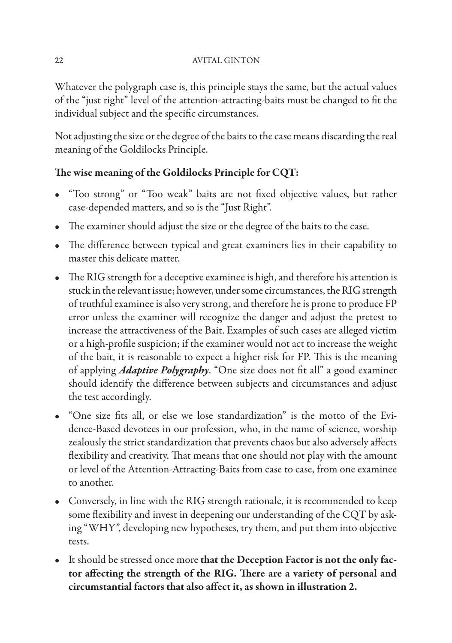Whatever the polygraph case is, this principle stays the same, but the actual values of the "just right" level of the attention-attracting-baits must be changed to fit the individual subject and the specific circumstances.

Not adjusting the size or the degree of the baits to the case means discarding the real meaning of the Goldilocks Principle.

# The wise meaning of the Goldilocks Principle for CQT:

- "Too strong" or "Too weak" baits are not fixed objective values, but rather case-depended matters, and so is the "Just Right".
- The examiner should adjust the size or the degree of the baits to the case.
- The difference between typical and great examiners lies in their capability to master this delicate matter.
- The RIG strength for a deceptive examinee is high, and therefore his attention is stuck in the relevant issue; however, under some circumstances, the RIG strength of truthful examinee is also very strong, and therefore he is prone to produce FP error unless the examiner will recognize the danger and adjust the pretest to increase the attractiveness of the Bait. Examples of such cases are alleged victim or a high-profile suspicion; if the examiner would not act to increase the weight of the bait, it is reasonable to expect a higher risk for FP. This is the meaning of applying *Adaptive Polygraphy*. "One size does not fit all" a good examiner should identify the difference between subjects and circumstances and adjust the test accordingly.
- "One size fits all, or else we lose standardization" is the motto of the Evidence-Based devotees in our profession, who, in the name of science, worship zealously the strict standardization that prevents chaos but also adversely affects flexibility and creativity. That means that one should not play with the amount or level of the Attention-Attracting-Baits from case to case, from one examinee to another.
- Conversely, in line with the RIG strength rationale, it is recommended to keep some flexibility and invest in deepening our understanding of the CQT by asking "WHY", developing new hypotheses, try them, and put them into objective tests.
- It should be stressed once more **that the Deception Factor is not the only fac**tor affecting the strength of the RIG. There are a variety of personal and circumstantial factors that also affect it, as shown in illustration 2.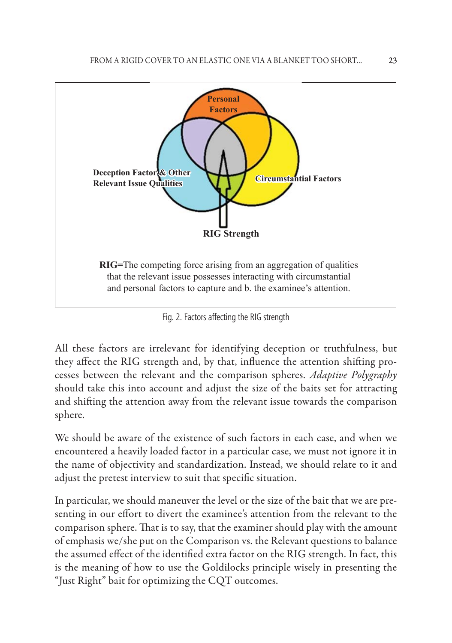

Fig. 2. Factors affecting the RIG strength

All these factors are irrelevant for identifying deception or truthfulness, but they affect the RIG strength and, by that, influence the attention shifting processes between the relevant and the comparison spheres. *Adaptive Polygraphy* should take this into account and adjust the size of the baits set for attracting and shifting the attention away from the relevant issue towards the comparison sphere.

We should be aware of the existence of such factors in each case, and when we encountered a heavily loaded factor in a particular case, we must not ignore it in the name of objectivity and standardization. Instead, we should relate to it and adjust the pretest interview to suit that specific situation.

In particular, we should maneuver the level or the size of the bait that we are presenting in our effort to divert the examinee's attention from the relevant to the comparison sphere. That is to say, that the examiner should play with the amount of emphasis we/she put on the Comparison vs. the Relevant questions to balance the assumed effect of the identified extra factor on the RIG strength. In fact, this is the meaning of how to use the Goldilocks principle wisely in presenting the "Just Right" bait for optimizing the CQT outcomes.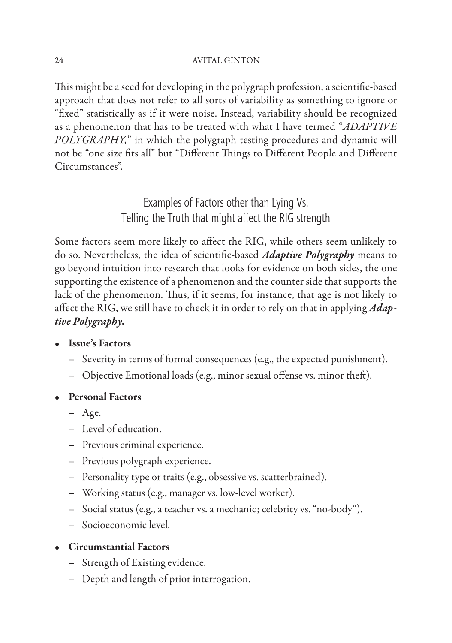This might be a seed for developing in the polygraph profession, a scientific-based approach that does not refer to all sorts of variability as something to ignore or "fixed" statistically as if it were noise. Instead, variability should be recognized as a phenomenon that has to be treated with what I have termed "*ADAPTIVE POLYGRAPHY,*" in which the polygraph testing procedures and dynamic will not be "one size fits all" but "Different Things to Different People and Different Circumstances".

> Examples of Factors other than Lying Vs. Telling the Truth that might affect the RIG strength

Some factors seem more likely to affect the RIG, while others seem unlikely to do so. Nevertheless, the idea of scientific-based *Adaptive Polygraphy* means to go beyond intuition into research that looks for evidence on both sides, the one supporting the existence of a phenomenon and the counter side that supports the lack of the phenomenon. Thus, if it seems, for instance, that age is not likely to affect the RIG, we still have to check it in order to rely on that in applying *Adaptive Polygraphy.*

### • **Issue's Factors**

- Severity in terms of formal consequences (e.g., the expected punishment).
- $-$  Objective Emotional loads (e.g., minor sexual offense vs. minor theft).
- **Personal Factors**
	- Age.
	- Level of education.
	- Previous criminal experience.
	- Previous polygraph experience.
	- Personality type or traits (e.g., obsessive vs. scatterbrained).
	- Working status (e.g., manager vs. low-level worker).
	- Social status (e.g., a teacher vs. a mechanic; celebrity vs. "no-body").
	- Socioeconomic level.

### • **Circumstantial Factors**

- Strength of Existing evidence.
- Depth and length of prior interrogation.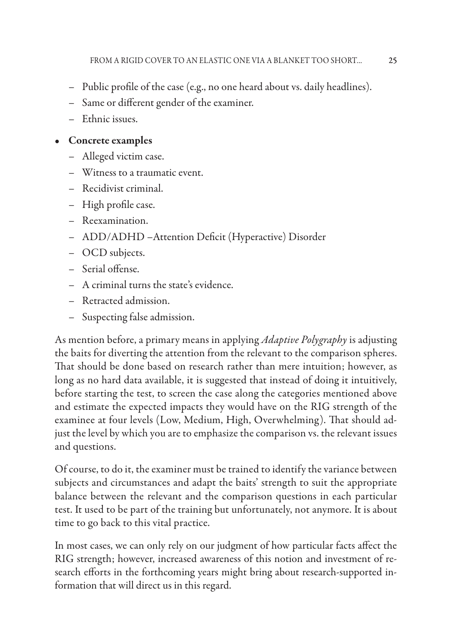- Public profile of the case (e.g., no one heard about vs. daily headlines).
- Same or different gender of the examiner.
- Ethnic issues.

### • **Concrete examples**

- Alleged victim case.
- Witness to a traumatic event.
- Recidivist criminal.
- High profile case.
- Reexamination.
- ADD/ADHD -Attention Deficit (Hyperactive) Disorder
- OCD subjects.
- Serial offense.
- A criminal turns the state's evidence.
- Retracted admission.
- Su specting false admission.

As mention before, a primary means in applying *Adaptive Polygraphy* is adjusting the baits for diverting the attention from the relevant to the comparison spheres. That should be done based on research rather than mere intuition; however, as long as no hard data available, it is suggested that instead of doing it intuitively, before starting the test, to screen the case along the categories mentioned above and estimate the expected impacts they would have on the RIG strength of the examinee at four levels (Low, Medium, High, Overwhelming). That should adjust the level by which you are to emphasize the comparison vs. the relevant issues and questions.

Of course, to do it, the examiner must be trained to identify the variance between subjects and circumstances and adapt the baits' strength to suit the appropriate balance between the relevant and the comparison questions in each particular test. It used to be part of the training but unfortunately, not anymore. It is about time to go back to this vital practice.

In most cases, we can only rely on our judgment of how particular facts affect the RIG strength; however, increased awareness of this notion and investment of research efforts in the forthcoming years might bring about research-supported information that will direct us in this regard.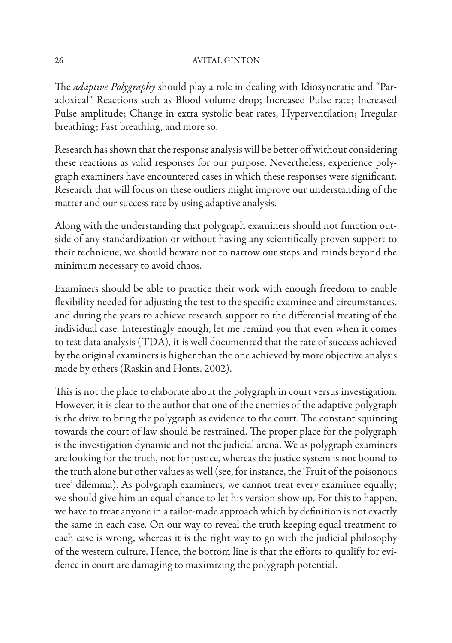The *adaptive Polygraphy* should play a role in dealing with Idiosyncratic and "Paradoxical" Reactions such as Blood volume drop; Increased Pulse rate; Increased Pulse amplitude; Change in extra systolic beat rates, Hyperventilation; Irregular breathing; Fast breathing, and more so.

Research has shown that the response analysis will be better off without considering these reactions as valid responses for our purpose. Nevertheless, experience polygraph examiners have encountered cases in which these responses were significant. Research that will focus on these outliers might improve our understanding of the matter and our success rate by using adaptive analysis.

Along with the understanding that polygraph examiners should not function outside of any standardization or without having any scientifically proven support to their technique, we should beware not to narrow our steps and minds beyond the minimum necessary to avoid chaos.

Examiners should be able to practice their work with enough freedom to enable flexibility needed for adjusting the test to the specific examinee and circumstances, and during the years to achieve research support to the differential treating of the individual case. Interestingly enough, let me remind you that even when it comes to test data analysis (TDA), it is well documented that the rate of success achieved by the original examiners is higher than the one achieved by more objective analysis made by others (Raskin and Honts. 2002).

This is not the place to elaborate about the polygraph in court versus investigation. However, it is clear to the author that one of the enemies of the adaptive polygraph is the drive to bring the polygraph as evidence to the court. The constant squinting towards the court of law should be restrained. The proper place for the polygraph is the investigation dynamic and not the judicial arena. We as polygraph examiners are looking for the truth, not for justice, whereas the justice system is not bound to the truth alone but other values as well (see, for instance, the 'Fruit of the poisonous tree' dilemma). As polygraph examiners, we cannot treat every examinee equally; we should give him an equal chance to let his version show up. For this to happen, we have to treat anyone in a tailor-made approach which by definition is not exactly the same in each case. On our way to reveal the truth keeping equal treatment to each case is wrong, whereas it is the right way to go with the judicial philosophy of the western culture. Hence, the bottom line is that the efforts to qualify for evidence in court are damaging to maximizing the polygraph potential.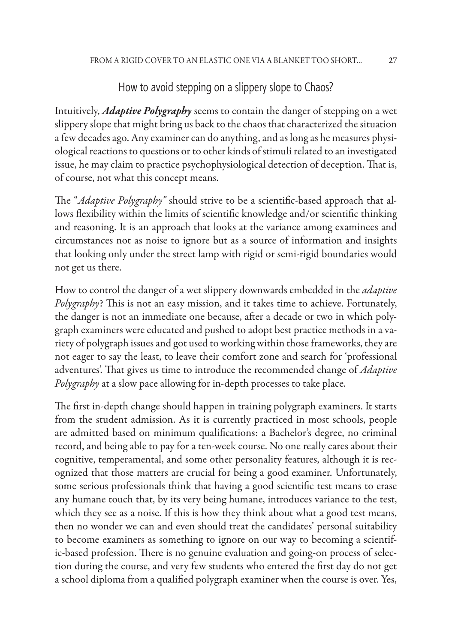### How to avoid stepping on a slippery slope to Chaos?

Intuitively, *Adaptive Polygraphy* seems to contain the danger of stepping on a wet slippery slope that might bring us back to the chaos that characterized the situation a few decades ago. Any examiner can do anything, and as long as he measures physiological reactions to questions or to other kinds of stimuli related to an investigated issue, he may claim to practice psychophysiological detection of deception. That is, of course, not what this concept means.

The "*Adaptive Polygraphy*" should strive to be a scientific-based approach that allows flexibility within the limits of scientific knowledge and/or scientific thinking and reasoning. It is an approach that looks at the variance among examinees and circumstances not as noise to ignore but as a source of information and insights that looking only under the street lamp with rigid or semi-rigid boundaries would not get us there.

How to control the danger of a wet slippery downwards embedded in the *adaptive Polygraphy*? This is not an easy mission, and it takes time to achieve. Fortunately, the danger is not an immediate one because, after a decade or two in which polygraph examiners were educated and pushed to adopt best practice methods in a variety of polygraph issues and got used to working within those frameworks, they are not eager to say the least, to leave their comfort zone and search for 'professional adventures'. That gives us time to introduce the recommended change of *Adaptive Polygraphy* at a slow pace allowing for in-depth processes to take place.

The first in-depth change should happen in training polygraph examiners. It starts from the student admission. As it is currently practiced in most schools, people are admitted based on minimum qualifications: a Bachelor's degree, no criminal record, and being able to pay for a ten-week course. No one really cares about their cognitive, temperamental, and some other personality features, although it is recognized that those matters are crucial for being a good examiner. Unfortunately, some serious professionals think that having a good scientific test means to erase any humane touch that, by its very being humane, introduces variance to the test, which they see as a noise. If this is how they think about what a good test means, then no wonder we can and even should treat the candidates' personal suitability to become examiners as something to ignore on our way to becoming a scientific-based profession. There is no genuine evaluation and going-on process of selection during the course, and very few students who entered the first day do not get a school diploma from a qualified polygraph examiner when the course is over. Yes,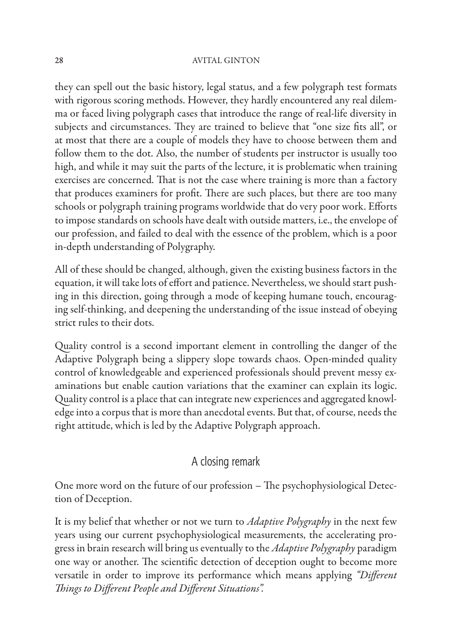they can spell out the basic history, legal status, and a few polygraph test formats with rigorous scoring methods. However, they hardly encountered any real dilemma or faced living polygraph cases that introduce the range of real-life diversity in subjects and circumstances. They are trained to believe that "one size fits all", or at most that there are a couple of models they have to choose between them and follow them to the dot. Also, the number of students per instructor is usually too high, and while it may suit the parts of the lecture, it is problematic when training exercises are concerned. That is not the case where training is more than a factory that produces examiners for profit. There are such places, but there are too many schools or polygraph training programs worldwide that do very poor work. Efforts to impose standards on schools have dealt with outside matters, i.e., the envelope of our profession, and failed to deal with the essence of the problem, which is a poor in-depth understanding of Polygraphy.

All of these should be changed, although, given the existing business factors in the equation, it will take lots of effort and patience. Nevertheless, we should start pushing in this direction, going through a mode of keeping humane touch, encouraging self-thinking, and deepening the understanding of the issue instead of obeying strict rules to their dots.

Quality control is a second important element in controlling the danger of the Adaptive Polygraph being a slippery slope towards chaos. Open-minded quality control of knowledgeable and experienced professionals should prevent messy examinations but enable caution variations that the examiner can explain its logic. Quality control is a place that can integrate new experiences and aggregated knowledge into a corpus that is more than anecdotal events. But that, of course, needs the right attitude, which is led by the Adaptive Polygraph approach.

## A closing remark

One more word on the future of our profession – The psychophysiological Detection of Deception.

It is my belief that whether or not we turn to *Adaptive Polygraphy* in the next few years using our current psychophysiological measurements, the accelerating progress in brain research will bring us eventually to the *Adaptive Polygraphy* paradigm one way or another. The scientific detection of deception ought to become more versatile in order to improve its performance which means applying "Different **Things to Different People and Different Situations".**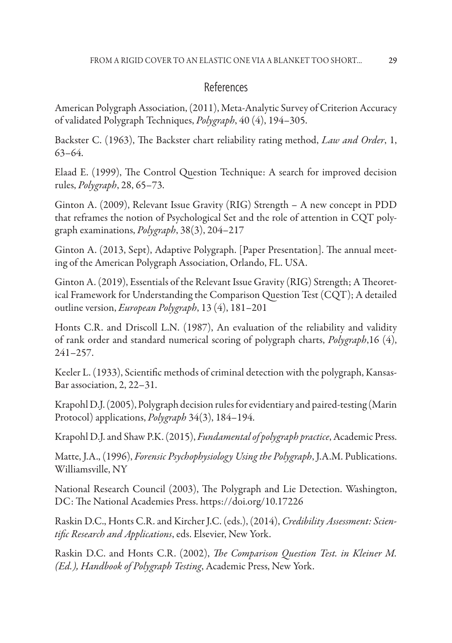### References

American Polygraph Association, (2011), Meta-Analytic Survey of Criterion Accuracy of validated Polygraph Techniques, *Polygraph*, 40 (4), 194–305.

Backster C. (1963), The Backster chart reliability rating method, *Law and Order*, 1, 63–64.

Elaad E. (1999), The Control Question Technique: A search for improved decision rules, *Polygraph*, 28, 65–73.

Ginton A. (2009), Relevant Issue Gravity (RIG) Strength – A new concept in PDD that reframes the notion of Psychological Set and the role of attention in CQT polygraph examinations, *Polygraph*, 38(3), 204–217

Ginton A. (2013, Sept), Adaptive Polygraph. [Paper Presentation]. The annual meeting of the American Polygraph Association, Orlando, FL. USA.

Ginton A. (2019), Essentials of the Relevant Issue Gravity (RIG) Strength; A Theoretical Framework for Understanding the Comparison Question Test (CQT); A detailed outline version, *European Polygraph*, 13 (4), 181–201

Honts C.R. and Driscoll L.N. (1987), An evaluation of the reliability and validity of rank order and standard numerical scoring of polygraph charts, *Polygraph*,16 (4), 241–257.

Keeler L. (1933), Scientific methods of criminal detection with the polygraph, Kansas-Bar association, 2, 22–31.

Krapohl D.J. (2005), Polygraph decision rules for evidentiary and paired-testing (Marin Protocol) applications, *Polygraph* 34(3), 184–194.

Krapohl D.J. and Shaw P.K. (2015), *Fundamental of polygraph practice*, Academic Press.

Matte, J.A., (1996), *Forensic Psychophysiology Using the Polygraph*, J.A.M. Publications. Williamsville, NY

National Research Council (2003), The Polygraph and Lie Detection. Washington, DC: The National Academies Press. https://doi.org/10.17226

Raskin D.C., Honts C.R. and Kircher J.C. (eds.), (2014), *Credibility Assessment: Scientific Research and Applications*, eds. Elsevier, New York.

Raskin D.C. and Honts C.R. (2002), *The Comparison Question Test. in Kleiner M. (Ed.), Handbook of Polygraph Testing*, Academic Press, New York.